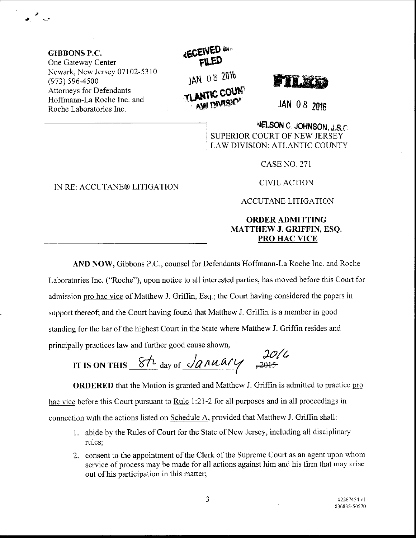GIBBONS P.C. One Gateway Center Newark, New Jersey 07102-53 l0 (973) s96-4500 Attomeys for Defendants Hoffmann-La Roche Inc. and Roche Laboratories Inc.

್ತು.<br>ತಿನಿ ಸಾ

**ECEIVED** JAN 08 2016 TLANTIC COUR

ffTE,EM

JAN 08 2016

NELSON C. JOHNSON, J.S.C. SUPERIOR COURT OF NEW JERSEY LAW DIVISION: ATLANTIC COUNTY

CASE NO. 271

CIVIL ACTION

ACCUTANE LITIGATION

## ORDERADMITTING MATTHEW J. GRIFFIN, ESQ. PRO HAC VICE

AND NOW, Gibbons P.C., counsel for Defendants Hoffmann-La Roche Inc. and Roche Laboratories Inc. ("Roche"), upon notice to all interested parties, has moved before this Court for admission pro hac vice of Matthew J. Griffin, Esq.; the Court having considered the papers in support thereof; and the Court having found that Matthew J. Griffin is a member in good standing for the bar of the highest Court in the State where Matthew J. Griffin resides and principally practices law and further good cause shown,

If  $\frac{20}{u}$ <br>IT IS ON THIS  $\frac{8h}{u}$  day of  $\sqrt{2014}$ ,  $\frac{2016}{u}$ 

hac vice before this Court pursuant to <u>Rule</u> 1:21-2 for all purposes and in all proceedings in **ORDERED** that the Motion is granted and Matthew J. Griffin is admitted to practice pro connection with the actions listed on Schedule A, provided that Matthew J. Griffin shall:

- <sup>1</sup>. abide by the Rules of Court for the State of New Jersey, including all disciplinary rules;
- 2. consent to the appointment of the Clerk of the Supreme Court as an agent upon whom service of process may be made for all actions against him and his firm that may arise out of his participation in this matter;

IN RE: ACCUTANE@ LITIGATION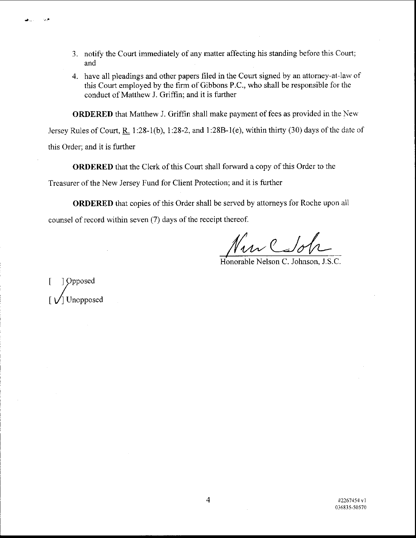- 3. notify the Court immediately of any matter affecting his standing before this Court; and
- 4. have all pleadings and other papers filed in the Court signed by an attorney-at-law of this Court employed by the firm of Gibbons P.C., who shall be responsible for the conduct of Matthew J. Griffin; and it is further

ORDERED that Matthew J. Griffin shall make payment of fees as provided in the New

Jersey Rules of Court, R. 1:28-1(b), 1:28-2, and 1:28B-1(e), within thirty (30) days of the date of this Order; and it is further

ORDERED that the Clerk of this Court shall forward a copy of this Order to the Treasurer of the New Jersey Fund for Client Protection; and it is further

ORDERED that copies of this Order shall be served by attomeys for Roche upon all counsel of record within seven (7) days of the receipt thereof.

 $\mathcal{V}$ ur  $\mathcal{L}$ do

Honorable Nelson C. Johnson, J.S.C.

]  $Opposed$ Unopposed